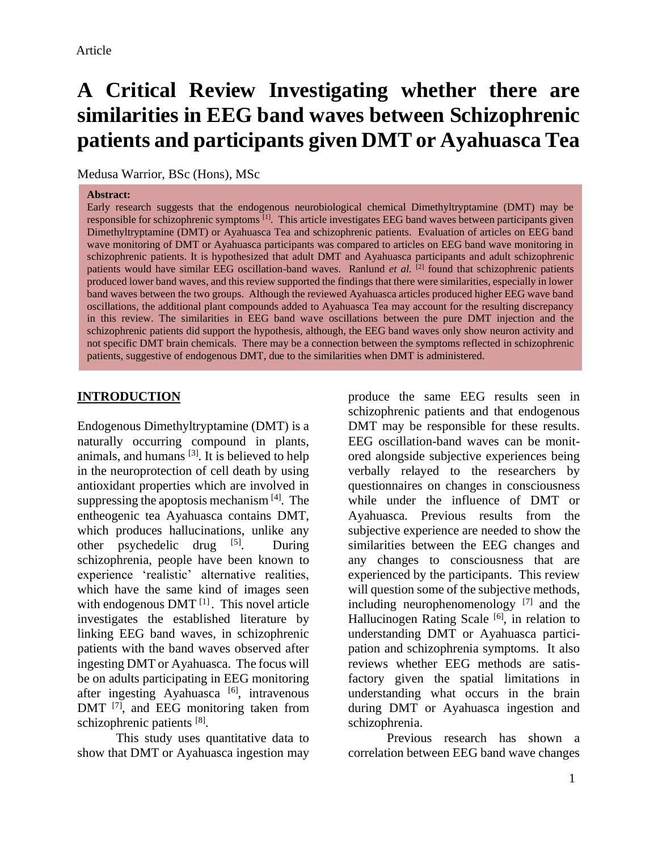Medusa Warrior, BSc (Hons), MSc

#### **Abstract:**

Early research suggests that the endogenous neurobiological chemical Dimethyltryptamine (DMT) may be responsible for schizophrenic symptoms  $^{[1]}$ . This article investigates EEG band waves between participants given Dimethyltryptamine (DMT) or Ayahuasca Tea and schizophrenic patients. Evaluation of articles on EEG band wave monitoring of DMT or Ayahuasca participants was compared to articles on EEG band wave monitoring in schizophrenic patients. It is hypothesized that adult DMT and Ayahuasca participants and adult schizophrenic patients would have similar EEG oscillation-band waves. Ranlund *et al.* [2] found that schizophrenic patients produced lower band waves, and this review supported the findings that there were similarities, especially in lower band waves between the two groups. Although the reviewed Ayahuasca articles produced higher EEG wave band oscillations, the additional plant compounds added to Ayahuasca Tea may account for the resulting discrepancy in this review. The similarities in EEG band wave oscillations between the pure DMT injection and the schizophrenic patients did support the hypothesis, although, the EEG band waves only show neuron activity and not specific DMT brain chemicals. There may be a connection between the symptoms reflected in schizophrenic patients, suggestive of endogenous DMT, due to the similarities when DMT is administered.

## **INTRODUCTION**

Endogenous Dimethyltryptamine (DMT) is a naturally occurring compound in plants, animals, and humans  $[3]$ . It is believed to help in the neuroprotection of cell death by using antioxidant properties which are involved in suppressing the apoptosis mechanism [4]. The entheogenic tea Ayahuasca contains DMT, which produces hallucinations, unlike any other psychedelic drug <sup>[5]</sup>. During schizophrenia, people have been known to experience 'realistic' alternative realities, which have the same kind of images seen with endogenous DMT<sup>[1]</sup>. This novel article investigates the established literature by linking EEG band waves, in schizophrenic patients with the band waves observed after ingesting DMT or Ayahuasca. The focus will be on adults participating in EEG monitoring after ingesting Ayahuasca  $[6]$ , intravenous DMT <sup>[7]</sup>, and EEG monitoring taken from schizophrenic patients [8].

This study uses quantitative data to show that DMT or Ayahuasca ingestion may produce the same EEG results seen in schizophrenic patients and that endogenous DMT may be responsible for these results. EEG oscillation-band waves can be monitored alongside subjective experiences being verbally relayed to the researchers by questionnaires on changes in consciousness while under the influence of DMT or Ayahuasca. Previous results from the subjective experience are needed to show the similarities between the EEG changes and any changes to consciousness that are experienced by the participants. This review will question some of the subjective methods, including neurophenomenology [7] and the Hallucinogen Rating Scale<sup>[6]</sup>, in relation to understanding DMT or Ayahuasca participation and schizophrenia symptoms. It also reviews whether EEG methods are satisfactory given the spatial limitations in understanding what occurs in the brain during DMT or Ayahuasca ingestion and schizophrenia.

Previous research has shown a correlation between EEG band wave changes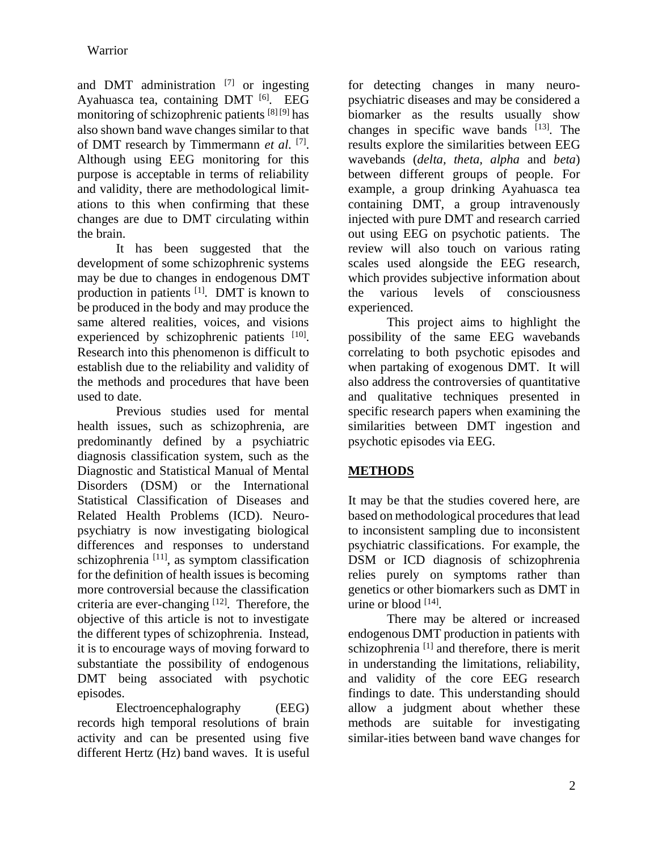and DMT administration [7] or ingesting Ayahuasca tea, containing  $DMT$  [6]. EEG monitoring of schizophrenic patients [8] [9] has also shown band wave changes similar to that of DMT research by Timmermann *et al*. [7] . Although using EEG monitoring for this purpose is acceptable in terms of reliability and validity, there are methodological limitations to this when confirming that these changes are due to DMT circulating within the brain.

It has been suggested that the development of some schizophrenic systems may be due to changes in endogenous DMT production in patients <sup>[1]</sup>. DMT is known to be produced in the body and may produce the same altered realities, voices, and visions experienced by schizophrenic patients [10]. Research into this phenomenon is difficult to establish due to the reliability and validity of the methods and procedures that have been used to date.

Previous studies used for mental health issues, such as schizophrenia, are predominantly defined by a psychiatric diagnosis classification system, such as the Diagnostic and Statistical Manual of Mental Disorders (DSM) or the International Statistical Classification of Diseases and Related Health Problems (ICD). Neuropsychiatry is now investigating biological differences and responses to understand schizophrenia [11], as symptom classification for the definition of health issues is becoming more controversial because the classification criteria are ever-changing [12]. Therefore, the objective of this article is not to investigate the different types of schizophrenia. Instead, it is to encourage ways of moving forward to substantiate the possibility of endogenous DMT being associated with psychotic episodes.

Electroencephalography (EEG) records high temporal resolutions of brain activity and can be presented using five different Hertz (Hz) band waves. It is useful

for detecting changes in many neuropsychiatric diseases and may be considered a biomarker as the results usually show changes in specific wave bands  $[13]$ . The results explore the similarities between EEG wavebands (*delta, theta, alpha* and *beta*) between different groups of people. For example, a group drinking Ayahuasca tea containing DMT, a group intravenously injected with pure DMT and research carried out using EEG on psychotic patients. The review will also touch on various rating scales used alongside the EEG research, which provides subjective information about the various levels of consciousness experienced.

This project aims to highlight the possibility of the same EEG wavebands correlating to both psychotic episodes and when partaking of exogenous DMT. It will also address the controversies of quantitative and qualitative techniques presented in specific research papers when examining the similarities between DMT ingestion and psychotic episodes via EEG.

# **METHODS**

It may be that the studies covered here, are based on methodological procedures that lead to inconsistent sampling due to inconsistent psychiatric classifications. For example, the DSM or ICD diagnosis of schizophrenia relies purely on symptoms rather than genetics or other biomarkers such as DMT in urine or blood [14] .

There may be altered or increased endogenous DMT production in patients with schizophrenia <sup>[1]</sup> and therefore, there is merit in understanding the limitations, reliability, and validity of the core EEG research findings to date. This understanding should allow a judgment about whether these methods are suitable for investigating similar-ities between band wave changes for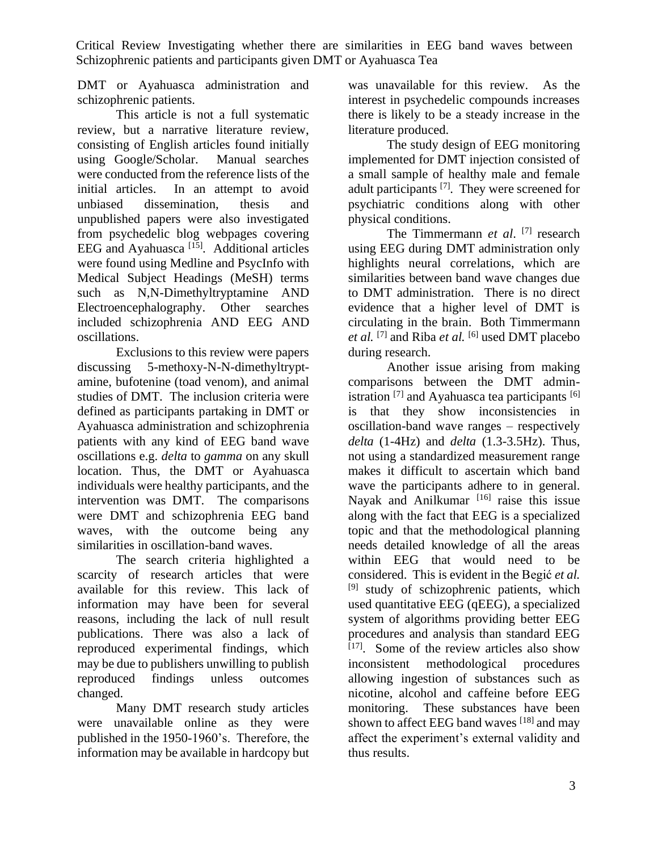DMT or Ayahuasca administration and schizophrenic patients.

This article is not a full systematic review, but a narrative literature review, consisting of English articles found initially using Google/Scholar. Manual searches were conducted from the reference lists of the initial articles. In an attempt to avoid unbiased dissemination, thesis and unpublished papers were also investigated from psychedelic blog webpages covering EEG and Ayahuasca<sup>[15]</sup>. Additional articles were found using Medline and PsycInfo with Medical Subject Headings (MeSH) terms such as N,N-Dimethyltryptamine AND Electroencephalography. Other searches included schizophrenia AND EEG AND oscillations.

Exclusions to this review were papers discussing 5-methoxy-N-N-dimethyltryptamine, bufotenine (toad venom), and animal studies of DMT. The inclusion criteria were defined as participants partaking in DMT or Ayahuasca administration and schizophrenia patients with any kind of EEG band wave oscillations e.g. *delta* to *gamma* on any skull location. Thus, the DMT or Ayahuasca individuals were healthy participants, and the intervention was DMT. The comparisons were DMT and schizophrenia EEG band waves, with the outcome being any similarities in oscillation-band waves.

The search criteria highlighted a scarcity of research articles that were available for this review. This lack of information may have been for several reasons, including the lack of null result publications. There was also a lack of reproduced experimental findings, which may be due to publishers unwilling to publish reproduced findings unless outcomes changed.

Many DMT research study articles were unavailable online as they were published in the 1950-1960's. Therefore, the information may be available in hardcopy but

was unavailable for this review. As the interest in psychedelic compounds increases there is likely to be a steady increase in the literature produced.

The study design of EEG monitoring implemented for DMT injection consisted of a small sample of healthy male and female adult participants [7]. They were screened for psychiatric conditions along with other physical conditions.

The Timmermann *et al*. [7] research using EEG during DMT administration only highlights neural correlations, which are similarities between band wave changes due to DMT administration. There is no direct evidence that a higher level of DMT is circulating in the brain. Both Timmermann *et al.* [7] and Riba *et al.* [6] used DMT placebo during research.

Another issue arising from making comparisons between the DMT administration  $^{[7]}$  and Ayahuasca tea participants  $^{[6]}$ is that they show inconsistencies in oscillation-band wave ranges – respectively *delta* (1-4Hz) and *delta* (1.3-3.5Hz). Thus, not using a standardized measurement range makes it difficult to ascertain which band wave the participants adhere to in general. Nayak and Anilkumar<sup>[16]</sup> raise this issue along with the fact that EEG is a specialized topic and that the methodological planning needs detailed knowledge of all the areas within EEG that would need to be considered. This is evident in the Begić *et al.* [9] study of schizophrenic patients, which used quantitative EEG (qEEG), a specialized system of algorithms providing better EEG procedures and analysis than standard EEG [17] . Some of the review articles also show inconsistent methodological procedures allowing ingestion of substances such as nicotine, alcohol and caffeine before EEG monitoring. These substances have been shown to affect EEG band waves  $^{[18]}$  and may affect the experiment's external validity and thus results.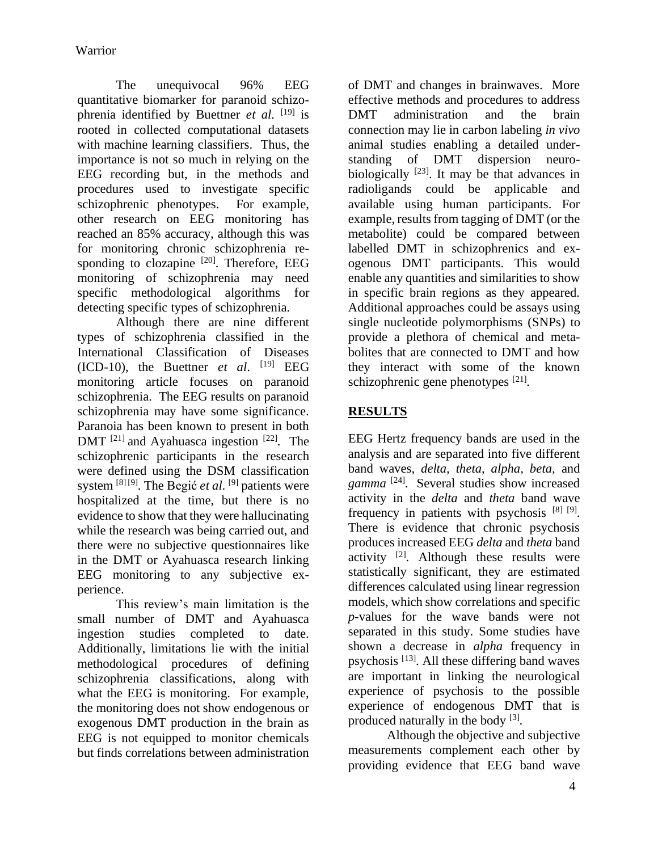The unequivocal 96% EEG quantitative biomarker for paranoid schizophrenia identified by Buettner *et al*. [19] is rooted in collected computational datasets with machine learning classifiers. Thus, the importance is not so much in relying on the EEG recording but, in the methods and procedures used to investigate specific schizophrenic phenotypes. For example, other research on EEG monitoring has reached an 85% accuracy, although this was for monitoring chronic schizophrenia responding to clozapine  $[20]$ . Therefore, EEG monitoring of schizophrenia may need specific methodological algorithms for detecting specific types of schizophrenia.

Although there are nine different types of schizophrenia classified in the International Classification of Diseases  $(ICD-10)$ , the Buettner *et al.* <sup>[19]</sup> EEG monitoring article focuses on paranoid schizophrenia. The EEG results on paranoid schizophrenia may have some significance. Paranoia has been known to present in both DMT  $[21]$  and Ayahuasca ingestion  $[22]$ . The schizophrenic participants in the research were defined using the DSM classification system <sup>[8] [9]</sup>. The Begić *et al*. <sup>[9]</sup> patients were hospitalized at the time, but there is no evidence to show that they were hallucinating while the research was being carried out, and there were no subjective questionnaires like in the DMT or Ayahuasca research linking EEG monitoring to any subjective experience.

This review's main limitation is the small number of DMT and Ayahuasca ingestion studies completed to date. Additionally, limitations lie with the initial methodological procedures of defining schizophrenia classifications, along with what the EEG is monitoring. For example, the monitoring does not show endogenous or exogenous DMT production in the brain as EEG is not equipped to monitor chemicals but finds correlations between administration

of DMT and changes in brainwaves. More effective methods and procedures to address DMT administration and the brain connection may lie in carbon labeling *in vivo* animal studies enabling a detailed understanding of DMT dispersion neurobiologically  $[23]$ . It may be that advances in radioligands could be applicable and available using human participants. For example, results from tagging of DMT (or the metabolite) could be compared between labelled DMT in schizophrenics and exogenous DMT participants. This would enable any quantities and similarities to show in specific brain regions as they appeared. Additional approaches could be assays using single nucleotide polymorphisms (SNPs) to provide a plethora of chemical and metabolites that are connected to DMT and how they interact with some of the known schizophrenic gene phenotypes [21].

# **RESULTS**

EEG Hertz frequency bands are used in the analysis and are separated into five different band waves, *delta, theta, alpha, beta,* and *gamma* [24]. Several studies show increased activity in the *delta* and *theta* band wave frequency in patients with psychosis [8] [9]. There is evidence that chronic psychosis produces increased EEG *delta* and *theta* band activity  $[2]$ . Although these results were statistically significant, they are estimated differences calculated using linear regression models, which show correlations and specific *p*-values for the wave bands were not separated in this study. Some studies have shown a decrease in *alpha* frequency in psychosis [13]. All these differing band waves are important in linking the neurological experience of psychosis to the possible experience of endogenous DMT that is produced naturally in the body [3].

Although the objective and subjective measurements complement each other by providing evidence that EEG band wave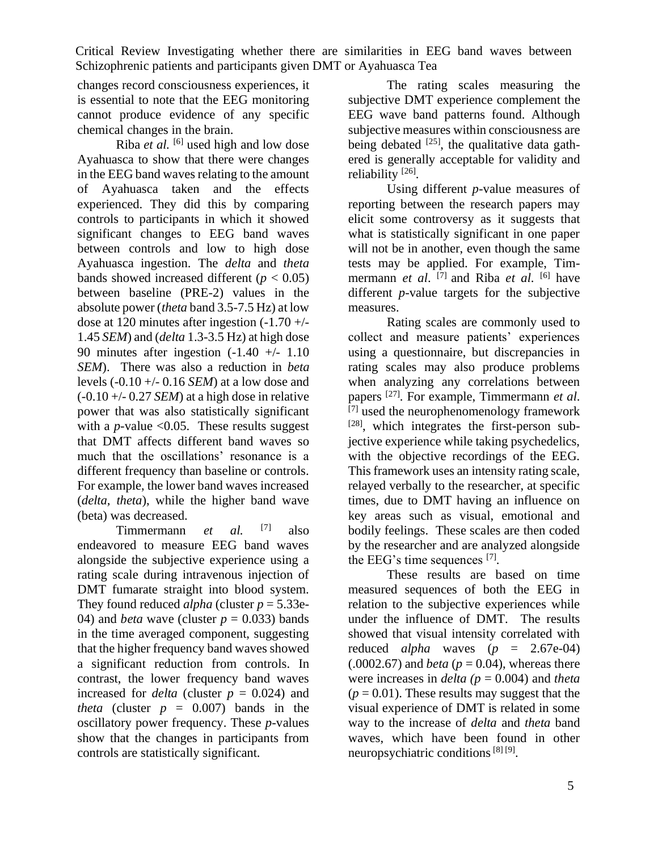changes record consciousness experiences, it is essential to note that the EEG monitoring cannot produce evidence of any specific chemical changes in the brain.

Riba *et al.* [6] used high and low dose Ayahuasca to show that there were changes in the EEG band waves relating to the amount of Ayahuasca taken and the effects experienced. They did this by comparing controls to participants in which it showed significant changes to EEG band waves between controls and low to high dose Ayahuasca ingestion. The *delta* and *theta* bands showed increased different  $(p < 0.05)$ between baseline (PRE-2) values in the absolute power (*theta* band 3.5-7.5 Hz) at low dose at 120 minutes after ingestion (-1.70 +/- 1.45 *SEM*) and (*delta* 1.3-3.5 Hz) at high dose 90 minutes after ingestion  $(-1.40 +1.10)$ *SEM*). There was also a reduction in *beta* levels (-0.10 +/- 0.16 *SEM*) at a low dose and (-0.10 +/- 0.27 *SEM*) at a high dose in relative power that was also statistically significant with a *p*-value  $< 0.05$ . These results suggest that DMT affects different band waves so much that the oscillations' resonance is a different frequency than baseline or controls. For example, the lower band waves increased (*delta, theta*), while the higher band wave (beta) was decreased.

Timmermann *et al.* [7] also endeavored to measure EEG band waves alongside the subjective experience using a rating scale during intravenous injection of DMT fumarate straight into blood system. They found reduced *alpha* (cluster  $p = 5.33e$ -04) and *beta* wave (cluster  $p = 0.033$ ) bands in the time averaged component, suggesting that the higher frequency band waves showed a significant reduction from controls. In contrast, the lower frequency band waves increased for *delta* (cluster  $p = 0.024$ ) and *theta* (cluster  $p = 0.007$ ) bands in the oscillatory power frequency. These *p*-values show that the changes in participants from controls are statistically significant.

The rating scales measuring the subjective DMT experience complement the EEG wave band patterns found. Although subjective measures within consciousness are being debated <sup>[25]</sup>, the qualitative data gathered is generally acceptable for validity and reliability<sup>[26]</sup>.

Using different *p*-value measures of reporting between the research papers may elicit some controversy as it suggests that what is statistically significant in one paper will not be in another, even though the same tests may be applied. For example, Timmermann *et al*. [7] and Riba *et al*. [6] have different *p*-value targets for the subjective measures.

Rating scales are commonly used to collect and measure patients' experiences using a questionnaire, but discrepancies in rating scales may also produce problems when analyzing any correlations between papers [27]. For example, Timmermann *et al*.  $\frac{1}{[7]}$  used the neurophenomenology framework [28], which integrates the first-person subjective experience while taking psychedelics, with the objective recordings of the EEG. This framework uses an intensity rating scale, relayed verbally to the researcher, at specific times, due to DMT having an influence on key areas such as visual, emotional and bodily feelings. These scales are then coded by the researcher and are analyzed alongside the EEG's time sequences  $[7]$ .

These results are based on time measured sequences of both the EEG in relation to the subjective experiences while under the influence of DMT. The results showed that visual intensity correlated with reduced *alpha* waves  $(p = 2.67e-04)$  $(.0002.67)$  and *beta* ( $p = 0.04$ ), whereas there were increases in *delta (p* = 0.004) and *theta*  $(p = 0.01)$ . These results may suggest that the visual experience of DMT is related in some way to the increase of *delta* and *theta* band waves, which have been found in other neuropsychiatric conditions<sup>[8][9]</sup>.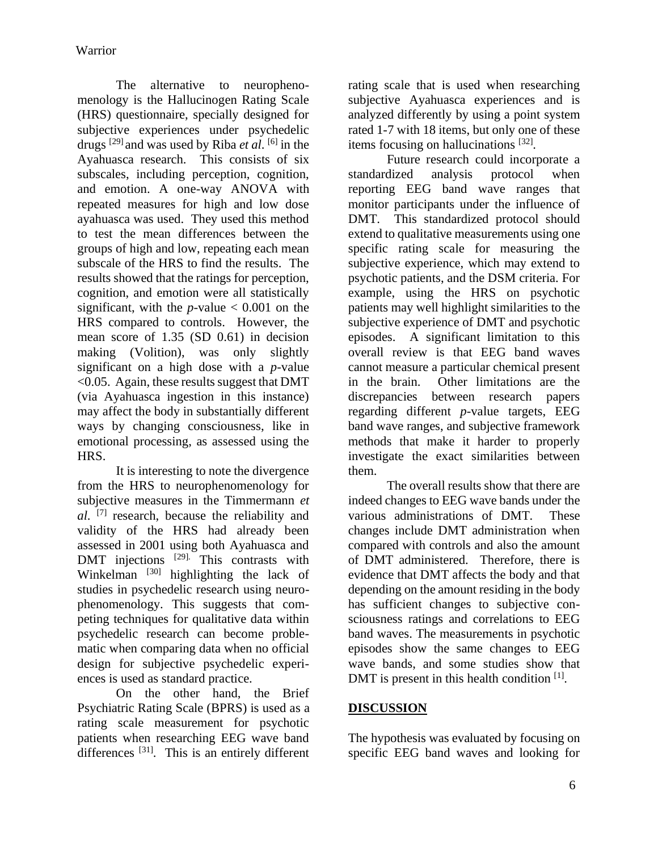The alternative to neurophenomenology is the Hallucinogen Rating Scale (HRS) questionnaire, specially designed for subjective experiences under psychedelic drugs [29] and was used by Riba *et al*. [6] in the Ayahuasca research. This consists of six subscales, including perception, cognition, and emotion. A one-way ANOVA with repeated measures for high and low dose ayahuasca was used. They used this method to test the mean differences between the groups of high and low, repeating each mean subscale of the HRS to find the results. The results showed that the ratings for perception, cognition, and emotion were all statistically significant, with the  $p$ -value  $< 0.001$  on the HRS compared to controls. However, the mean score of 1.35 (SD 0.61) in decision making (Volition), was only slightly significant on a high dose with a *p*-value <0.05. Again, these results suggest that DMT (via Ayahuasca ingestion in this instance) may affect the body in substantially different ways by changing consciousness, like in emotional processing, as assessed using the HRS.

It is interesting to note the divergence from the HRS to neurophenomenology for subjective measures in the Timmermann *et al*. [7] research, because the reliability and validity of the HRS had already been assessed in 2001 using both Ayahuasca and DMT injections <sup>[29]</sup>. This contrasts with Winkelman <sup>[30]</sup> highlighting the lack of studies in psychedelic research using neurophenomenology. This suggests that competing techniques for qualitative data within psychedelic research can become problematic when comparing data when no official design for subjective psychedelic experiences is used as standard practice.

On the other hand, the Brief Psychiatric Rating Scale (BPRS) is used as a rating scale measurement for psychotic patients when researching EEG wave band differences<sup>[31]</sup>. This is an entirely different

rating scale that is used when researching subjective Ayahuasca experiences and is analyzed differently by using a point system rated 1-7 with 18 items, but only one of these items focusing on hallucinations [32].

Future research could incorporate a standardized analysis protocol when reporting EEG band wave ranges that monitor participants under the influence of DMT. This standardized protocol should extend to qualitative measurements using one specific rating scale for measuring the subjective experience, which may extend to psychotic patients, and the DSM criteria. For example, using the HRS on psychotic patients may well highlight similarities to the subjective experience of DMT and psychotic episodes. A significant limitation to this overall review is that EEG band waves cannot measure a particular chemical present in the brain. Other limitations are the discrepancies between research papers regarding different *p*-value targets, EEG band wave ranges, and subjective framework methods that make it harder to properly investigate the exact similarities between them.

The overall results show that there are indeed changes to EEG wave bands under the various administrations of DMT. These changes include DMT administration when compared with controls and also the amount of DMT administered. Therefore, there is evidence that DMT affects the body and that depending on the amount residing in the body has sufficient changes to subjective consciousness ratings and correlations to EEG band waves. The measurements in psychotic episodes show the same changes to EEG wave bands, and some studies show that DMT is present in this health condition [1].

## **DISCUSSION**

The hypothesis was evaluated by focusing on specific EEG band waves and looking for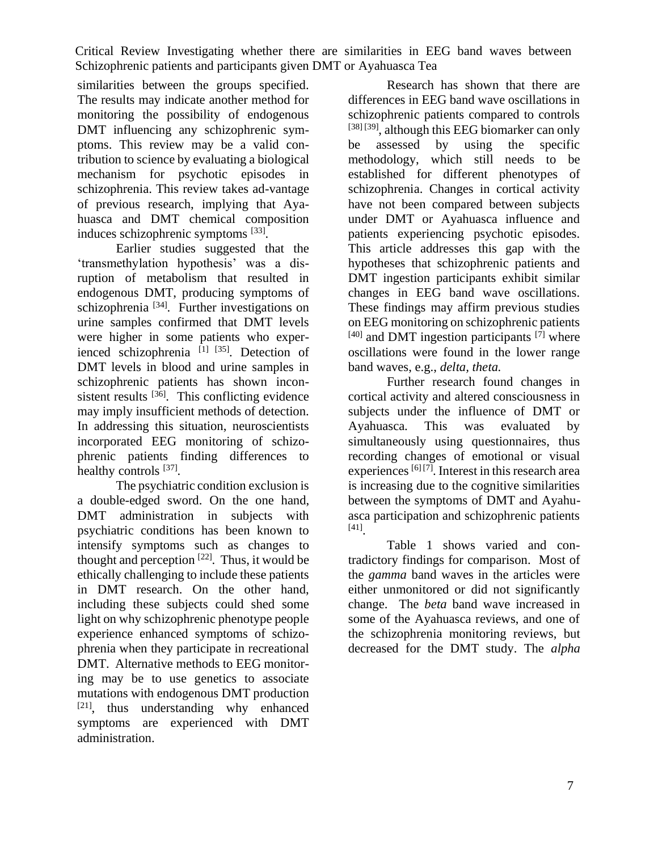similarities between the groups specified. The results may indicate another method for monitoring the possibility of endogenous DMT influencing any schizophrenic symptoms. This review may be a valid contribution to science by evaluating a biological mechanism for psychotic episodes in schizophrenia. This review takes ad-vantage of previous research, implying that Ayahuasca and DMT chemical composition induces schizophrenic symptoms [33].

Earlier studies suggested that the 'transmethylation hypothesis' was a disruption of metabolism that resulted in endogenous DMT, producing symptoms of schizophrenia [34]. Further investigations on urine samples confirmed that DMT levels were higher in some patients who experienced schizophrenia  $^{[1]}$   $^{[35]}$ . Detection of DMT levels in blood and urine samples in schizophrenic patients has shown inconsistent results  $^{[36]}$ . This conflicting evidence may imply insufficient methods of detection. In addressing this situation, neuroscientists incorporated EEG monitoring of schizophrenic patients finding differences to healthy controls [37].

The psychiatric condition exclusion is a double-edged sword. On the one hand, DMT administration in subjects with psychiatric conditions has been known to intensify symptoms such as changes to thought and perception  $[22]$ . Thus, it would be ethically challenging to include these patients in DMT research. On the other hand, including these subjects could shed some light on why schizophrenic phenotype people experience enhanced symptoms of schizophrenia when they participate in recreational DMT. Alternative methods to EEG monitoring may be to use genetics to associate mutations with endogenous DMT production [21], thus understanding why enhanced symptoms are experienced with DMT administration.

Research has shown that there are differences in EEG band wave oscillations in schizophrenic patients compared to controls [38] [39], although this EEG biomarker can only be assessed by using the specific methodology, which still needs to be established for different phenotypes of schizophrenia. Changes in cortical activity have not been compared between subjects under DMT or Ayahuasca influence and patients experiencing psychotic episodes. This article addresses this gap with the hypotheses that schizophrenic patients and DMT ingestion participants exhibit similar changes in EEG band wave oscillations. These findings may affirm previous studies on EEG monitoring on schizophrenic patients  $[40]$  and DMT ingestion participants  $[7]$  where oscillations were found in the lower range band waves, e.g., *delta, theta.*

Further research found changes in cortical activity and altered consciousness in subjects under the influence of DMT or Ayahuasca. This was evaluated by simultaneously using questionnaires, thus recording changes of emotional or visual experiences  $[6]$   $[7]$ . Interest in this research area is increasing due to the cognitive similarities between the symptoms of DMT and Ayahuasca participation and schizophrenic patients [41] .

Table 1 shows varied and contradictory findings for comparison. Most of the *gamma* band waves in the articles were either unmonitored or did not significantly change. The *beta* band wave increased in some of the Ayahuasca reviews, and one of the schizophrenia monitoring reviews, but decreased for the DMT study. The *alpha*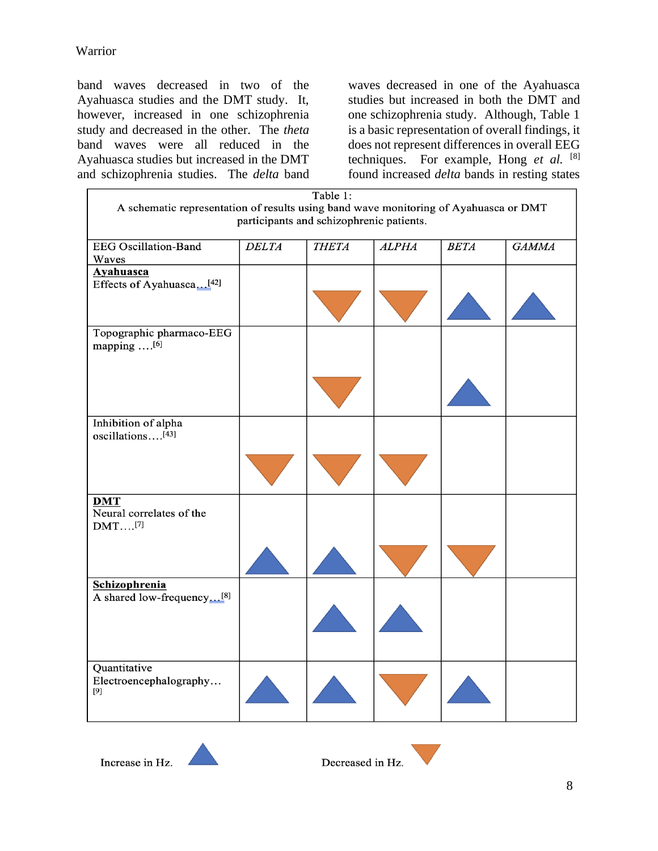band waves decreased in two of the Ayahuasca studies and the DMT study. It, however, increased in one schizophrenia study and decreased in the other. The *theta* band waves were all reduced in the Ayahuasca studies but increased in the DMT and schizophrenia studies. The *delta* band

waves decreased in one of the Ayahuasca studies but increased in both the DMT and one schizophrenia study. Although, Table 1 is a basic representation of overall findings, it does not represent differences in overall EEG techniques. For example, Hong *et al.* [8] found increased *delta* bands in resting states

| Table 1:<br>A schematic representation of results using band wave monitoring of Ayahuasca or DMT |              |              |              |             |              |
|--------------------------------------------------------------------------------------------------|--------------|--------------|--------------|-------------|--------------|
| participants and schizophrenic patients.                                                         |              |              |              |             |              |
| <b>EEG</b> Oscillation-Band                                                                      | <b>DELTA</b> | <b>THETA</b> | <b>ALPHA</b> | <b>BETA</b> | <b>GAMMA</b> |
| Waves                                                                                            |              |              |              |             |              |
| Ayahuasca                                                                                        |              |              |              |             |              |
| Effects of Ayahuasca[42]                                                                         |              |              |              |             |              |
|                                                                                                  |              |              |              |             |              |
| Topographic pharmaco-EEG<br>mapping $\dots$ [6]                                                  |              |              |              |             |              |
|                                                                                                  |              |              |              |             |              |
| Inhibition of alpha<br>oscillations <sup>[43]</sup>                                              |              |              |              |             |              |
|                                                                                                  |              |              |              |             |              |
| <b>DMT</b><br>Neural correlates of the<br>$DMT$ $^{[7]}$                                         |              |              |              |             |              |
|                                                                                                  |              |              |              |             |              |
| <b>Schizophrenia</b>                                                                             |              |              |              |             |              |
| A shared low-frequency[8]                                                                        |              |              |              |             |              |
| Quantitative<br>Electroencephalography<br>[9]                                                    |              |              |              |             |              |

Increase in Hz.

Decreased in Hz.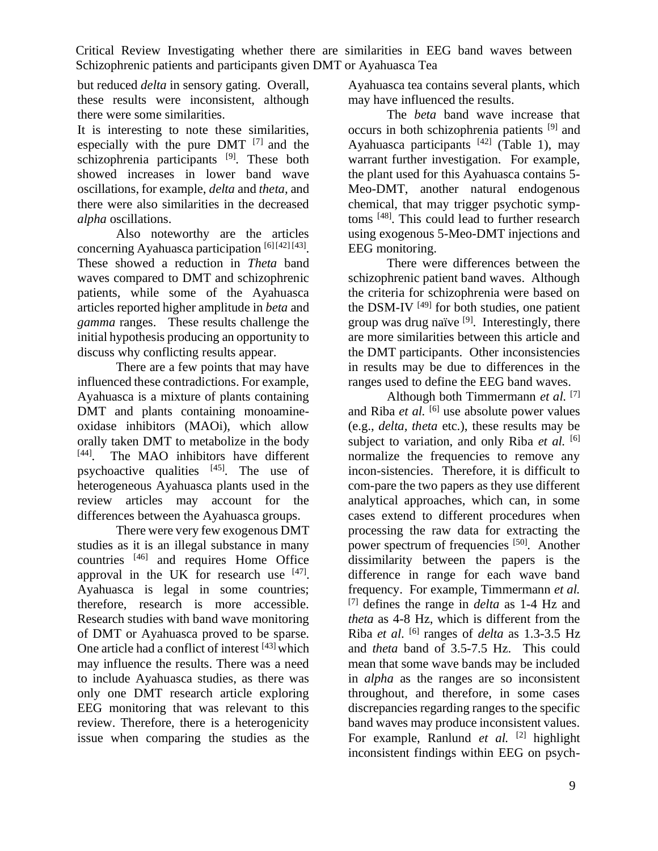but reduced *delta* in sensory gating. Overall, these results were inconsistent, although there were some similarities.

It is interesting to note these similarities, especially with the pure DMT  $[7]$  and the schizophrenia participants <sup>[9]</sup>. These both showed increases in lower band wave oscillations, for example, *delta* and *theta,* and there were also similarities in the decreased *alpha* oscillations.

Also noteworthy are the articles concerning Ayahuasca participation<sup>[6][42][43]</sup>. These showed a reduction in *Theta* band waves compared to DMT and schizophrenic patients, while some of the Ayahuasca articles reported higher amplitude in *beta* and *gamma* ranges. These results challenge the initial hypothesis producing an opportunity to discuss why conflicting results appear.

There are a few points that may have influenced these contradictions. For example, Ayahuasca is a mixture of plants containing DMT and plants containing monoamineoxidase inhibitors (MAOi), which allow orally taken DMT to metabolize in the body [44] The MAO inhibitors have different psychoactive qualities  $[45]$ . The use of heterogeneous Ayahuasca plants used in the review articles may account for the differences between the Ayahuasca groups.

There were very few exogenous DMT studies as it is an illegal substance in many countries [46] and requires Home Office approval in the UK for research use  $[47]$ . Ayahuasca is legal in some countries; therefore, research is more accessible. Research studies with band wave monitoring of DMT or Ayahuasca proved to be sparse. One article had a conflict of interest [43] which may influence the results. There was a need to include Ayahuasca studies, as there was only one DMT research article exploring EEG monitoring that was relevant to this review. Therefore, there is a heterogenicity issue when comparing the studies as the Ayahuasca tea contains several plants, which may have influenced the results.

The *beta* band wave increase that occurs in both schizophrenia patients [9] and Ayahuasca participants  $[42]$  (Table 1), may warrant further investigation. For example, the plant used for this Ayahuasca contains 5- Meo-DMT, another natural endogenous chemical, that may trigger psychotic symptoms [48]. This could lead to further research using exogenous 5-Meo-DMT injections and EEG monitoring.

There were differences between the schizophrenic patient band waves. Although the criteria for schizophrenia were based on the DSM-IV<sup>[49]</sup> for both studies, one patient group was drug naïve  $[9]$ . Interestingly, there are more similarities between this article and the DMT participants. Other inconsistencies in results may be due to differences in the ranges used to define the EEG band waves.

Although both Timmermann *et al.* [7] and Riba *et al.* <sup>[6]</sup> use absolute power values (e.g., *delta, theta* etc.), these results may be subject to variation, and only Riba *et al.* [6] normalize the frequencies to remove any incon-sistencies. Therefore, it is difficult to com-pare the two papers as they use different analytical approaches, which can, in some cases extend to different procedures when processing the raw data for extracting the power spectrum of frequencies [50]. Another dissimilarity between the papers is the difference in range for each wave band frequency. For example, Timmermann *et al.* [7] defines the range in *delta* as 1-4 Hz and *theta* as 4-8 Hz, which is different from the Riba *et al*. [6] ranges of *delta* as 1.3-3.5 Hz and *theta* band of 3.5-7.5 Hz. This could mean that some wave bands may be included in *alpha* as the ranges are so inconsistent throughout, and therefore, in some cases discrepancies regarding ranges to the specific band waves may produce inconsistent values. For example, Ranlund *et al.* <sup>[2]</sup> highlight inconsistent findings within EEG on psych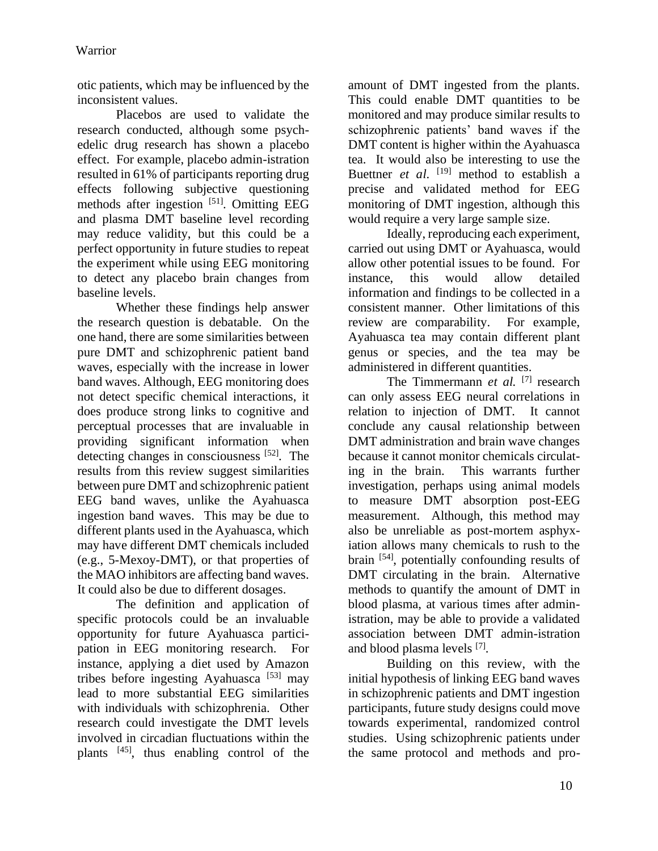otic patients, which may be influenced by the inconsistent values.

Placebos are used to validate the research conducted, although some psychedelic drug research has shown a placebo effect. For example, placebo admin-istration resulted in 61% of participants reporting drug effects following subjective questioning methods after ingestion [51]. Omitting EEG and plasma DMT baseline level recording may reduce validity, but this could be a perfect opportunity in future studies to repeat the experiment while using EEG monitoring to detect any placebo brain changes from baseline levels.

Whether these findings help answer the research question is debatable. On the one hand, there are some similarities between pure DMT and schizophrenic patient band waves, especially with the increase in lower band waves. Although, EEG monitoring does not detect specific chemical interactions, it does produce strong links to cognitive and perceptual processes that are invaluable in providing significant information when detecting changes in consciousness [52]. The results from this review suggest similarities between pure DMT and schizophrenic patient EEG band waves, unlike the Ayahuasca ingestion band waves. This may be due to different plants used in the Ayahuasca, which may have different DMT chemicals included (e.g., 5-Mexoy-DMT), or that properties of the MAO inhibitors are affecting band waves. It could also be due to different dosages.

The definition and application of specific protocols could be an invaluable opportunity for future Ayahuasca participation in EEG monitoring research. For instance, applying a diet used by Amazon tribes before ingesting Ayahuasca  $[53]$  may lead to more substantial EEG similarities with individuals with schizophrenia. Other research could investigate the DMT levels involved in circadian fluctuations within the plants [45], thus enabling control of the amount of DMT ingested from the plants. This could enable DMT quantities to be monitored and may produce similar results to schizophrenic patients' band waves if the DMT content is higher within the Ayahuasca tea. It would also be interesting to use the Buettner *et al.* <sup>[19]</sup> method to establish a precise and validated method for EEG monitoring of DMT ingestion, although this would require a very large sample size.

Ideally, reproducing each experiment, carried out using DMT or Ayahuasca, would allow other potential issues to be found. For instance, this would allow detailed information and findings to be collected in a consistent manner. Other limitations of this review are comparability. For example, Ayahuasca tea may contain different plant genus or species, and the tea may be administered in different quantities.

The Timmermann *et al.* [7] research can only assess EEG neural correlations in relation to injection of DMT. It cannot conclude any causal relationship between DMT administration and brain wave changes because it cannot monitor chemicals circulating in the brain. This warrants further investigation, perhaps using animal models to measure DMT absorption post-EEG measurement. Although, this method may also be unreliable as post-mortem asphyxiation allows many chemicals to rush to the brain [54], potentially confounding results of DMT circulating in the brain. Alternative methods to quantify the amount of DMT in blood plasma, at various times after administration, may be able to provide a validated association between DMT admin-istration and blood plasma levels [7] .

Building on this review, with the initial hypothesis of linking EEG band waves in schizophrenic patients and DMT ingestion participants, future study designs could move towards experimental, randomized control studies. Using schizophrenic patients under the same protocol and methods and pro-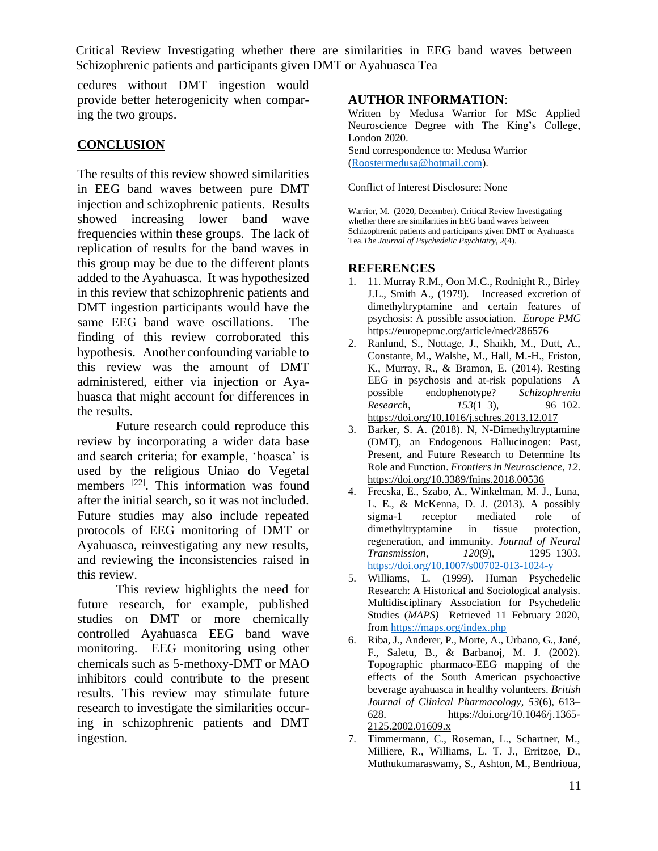cedures without DMT ingestion would provide better heterogenicity when comparing the two groups.

## **CONCLUSION**

The results of this review showed similarities in EEG band waves between pure DMT injection and schizophrenic patients. Results showed increasing lower band wave frequencies within these groups. The lack of replication of results for the band waves in this group may be due to the different plants added to the Ayahuasca. It was hypothesized in this review that schizophrenic patients and DMT ingestion participants would have the same EEG band wave oscillations. The finding of this review corroborated this hypothesis. Another confounding variable to this review was the amount of DMT administered, either via injection or Ayahuasca that might account for differences in the results.

Future research could reproduce this review by incorporating a wider data base and search criteria; for example, 'hoasca' is used by the religious Uniao do Vegetal members [22]. This information was found after the initial search, so it was not included. Future studies may also include repeated protocols of EEG monitoring of DMT or Ayahuasca, reinvestigating any new results, and reviewing the inconsistencies raised in this review.

This review highlights the need for future research, for example, published studies on DMT or more chemically controlled Ayahuasca EEG band wave monitoring. EEG monitoring using other chemicals such as 5-methoxy-DMT or MAO inhibitors could contribute to the present results. This review may stimulate future research to investigate the similarities occuring in schizophrenic patients and DMT ingestion.

## **AUTHOR INFORMATION**:

Written by Medusa Warrior for MSc Applied Neuroscience Degree with The King's College, London 2020. Send correspondence to: Medusa Warrior [\(Roostermedusa@hotmail.com\)](mailto:Roostermedusa@hotmail.com).

Conflict of Interest Disclosure: None

Warrior, M. (2020, December). Critical Review Investigating whether there are similarities in EEG band waves between Schizophrenic patients and participants given DMT or Ayahuasca Tea.*The Journal of Psychedelic Psychiatry*, *2*(4).

#### **REFERENCES**

- 1. 11. Murray R.M., Oon M.C., Rodnight R., Birley J.L., Smith A., (1979). Increased excretion of dimethyltryptamine and certain features of psychosis: A possible association. *Europe PMC* <https://europepmc.org/article/med/286576>
- 2. Ranlund, S., Nottage, J., Shaikh, M., Dutt, A., Constante, M., Walshe, M., Hall, M.-H., Friston, K., Murray, R., & Bramon, E. (2014). Resting EEG in psychosis and at-risk populations—A possible endophenotype? *Schizophrenia Research*, *153*(1–3), 96–102. <https://doi.org/10.1016/j.schres.2013.12.017>
- 3. Barker, S. A. (2018). N, N-Dimethyltryptamine (DMT), an Endogenous Hallucinogen: Past, Present, and Future Research to Determine Its Role and Function. *Frontiers in Neuroscience*, *12*. <https://doi.org/10.3389/fnins.2018.00536>
- 4. Frecska, E., Szabo, A., Winkelman, M. J., Luna, L. E., & McKenna, D. J. (2013). A possibly sigma-1 receptor mediated role of dimethyltryptamine in tissue protection, regeneration, and immunity. *Journal of Neural Transmission*, *120*(9), 1295–1303. <https://doi.org/10.1007/s00702-013-1024-y>
- 5. Williams, L. (1999). Human Psychedelic Research: A Historical and Sociological analysis. Multidisciplinary Association for Psychedelic Studies (*MAPS)* Retrieved 11 February 2020, from<https://maps.org/index.php>
- 6. Riba, J., Anderer, P., Morte, A., Urbano, G., Jané, F., Saletu, B., & Barbanoj, M. J. (2002). Topographic pharmaco-EEG mapping of the effects of the South American psychoactive beverage ayahuasca in healthy volunteers. *British Journal of Clinical Pharmacology*, *53*(6), 613– 628. [https://doi.org/10.1046/j.1365-](https://doi.org/10.1046/j.1365-2125.2002.01609.x) [2125.2002.01609.x](https://doi.org/10.1046/j.1365-2125.2002.01609.x)
- 7. Timmermann, C., Roseman, L., Schartner, M., Milliere, R., Williams, L. T. J., Erritzoe, D., Muthukumaraswamy, S., Ashton, M., Bendrioua,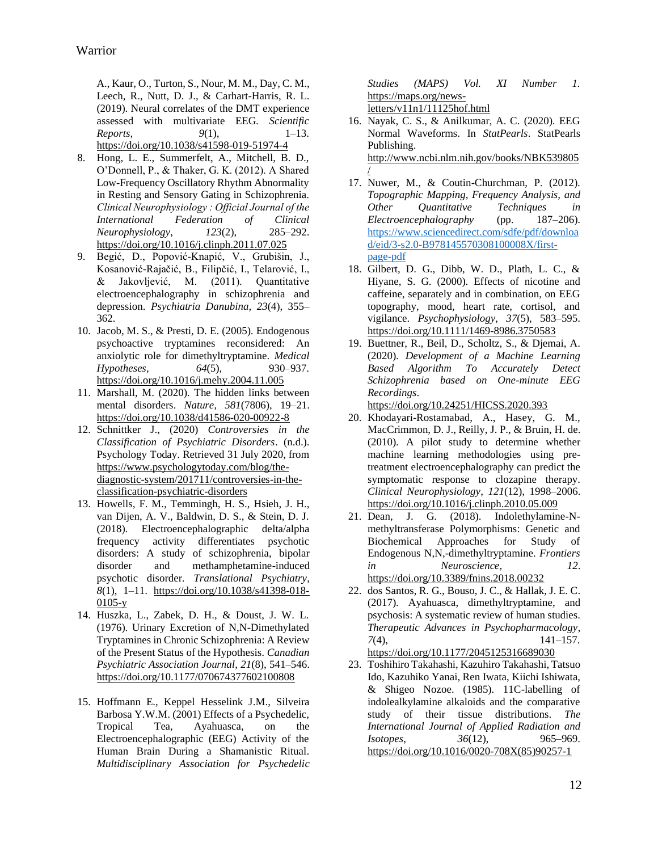A., Kaur, O., Turton, S., Nour, M. M., Day, C. M., Leech, R., Nutt, D. J., & Carhart-Harris, R. L. (2019). Neural correlates of the DMT experience assessed with multivariate EEG. *Scientific Reports*, *9*(1), 1–13. <https://doi.org/10.1038/s41598-019-51974-4>

- 8. Hong, L. E., Summerfelt, A., Mitchell, B. D., O'Donnell, P., & Thaker, G. K. (2012). A Shared Low-Frequency Oscillatory Rhythm Abnormality in Resting and Sensory Gating in Schizophrenia. *Clinical Neurophysiology : Official Journal of the International Federation of Clinical Neurophysiology*, *123*(2), 285–292. <https://doi.org/10.1016/j.clinph.2011.07.025>
- 9. Begić, D., Popović-Knapić, V., Grubišin, J., Kosanović-Rajačić, B., Filipčić, I., Telarović, I., & Jakovljević, M. (2011). Quantitative electroencephalography in schizophrenia and depression. *Psychiatria Danubina*, *23*(4), 355– 362.
- 10. Jacob, M. S., & Presti, D. E. (2005). Endogenous psychoactive tryptamines reconsidered: An anxiolytic role for dimethyltryptamine. *Medical Hypotheses*, *64*(5), 930–937. <https://doi.org/10.1016/j.mehy.2004.11.005>
- 11. Marshall, M. (2020). The hidden links between mental disorders. *Nature*, *581*(7806), 19–21. <https://doi.org/10.1038/d41586-020-00922-8>
- 12. Schnittker J., (2020) *Controversies in the Classification of Psychiatric Disorders*. (n.d.). Psychology Today. Retrieved 31 July 2020, from [https://www.psychologytoday.com/blog/the](https://www.psychologytoday.com/blog/the-diagnostic-system/201711/controversies-in-the-classification-psychiatric-disorders)[diagnostic-system/201711/controversies-in-the](https://www.psychologytoday.com/blog/the-diagnostic-system/201711/controversies-in-the-classification-psychiatric-disorders)[classification-psychiatric-disorders](https://www.psychologytoday.com/blog/the-diagnostic-system/201711/controversies-in-the-classification-psychiatric-disorders)
- 13. Howells, F. M., Temmingh, H. S., Hsieh, J. H., van Dijen, A. V., Baldwin, D. S., & Stein, D. J. (2018). Electroencephalographic delta/alpha frequency activity differentiates psychotic disorders: A study of schizophrenia, bipolar disorder and methamphetamine-induced psychotic disorder. *Translational Psychiatry*, *8*(1), 1–11. [https://doi.org/10.1038/s41398-018-](https://doi.org/10.1038/s41398-018-0105-y)  $0105-y$
- 14. Huszka, L., Zabek, D. H., & Doust, J. W. L. (1976). Urinary Excretion of N,N-Dimethylated Tryptamines in Chronic Schizophrenia: A Review of the Present Status of the Hypothesis. *Canadian Psychiatric Association Journal*, *21*(8), 541–546. <https://doi.org/10.1177/070674377602100808>
- 15. Hoffmann E., Keppel Hesselink J.M., Silveira Barbosa Y.W.M. (2001) Effects of a Psychedelic, Tropical Tea, Ayahuasca, on the Electroencephalographic (EEG) Activity of the Human Brain During a Shamanistic Ritual. *Multidisciplinary Association for Psychedelic*

*Studies (MAPS) Vol. XI Number 1.*  [https://maps.org/news](https://maps.org/news-letters/v11n1/11125hof.html)[letters/v11n1/11125hof.html](https://maps.org/news-letters/v11n1/11125hof.html)

- 16. Nayak, C. S., & Anilkumar, A. C. (2020). EEG Normal Waveforms. In *StatPearls*. StatPearls Publishing. [http://www.ncbi.nlm.nih.gov/books/NBK539805](http://www.ncbi.nlm.nih.gov/books/NBK539805/) [/](http://www.ncbi.nlm.nih.gov/books/NBK539805/)
- 17. Nuwer, M., & Coutin-Churchman, P. (2012). *Topographic Mapping, Frequency Analysis, and Other Quantitative Techniques in Electroencephalography* (pp. 187–206). [https://www.sciencedirect.com/sdfe/pdf/downloa](https://www.sciencedirect.com/sdfe/pdf/download/eid/3-s2.0-B978145570308100008X/first-page-pdf) [d/eid/3-s2.0-B978145570308100008X/first](https://www.sciencedirect.com/sdfe/pdf/download/eid/3-s2.0-B978145570308100008X/first-page-pdf)[page-pdf](https://www.sciencedirect.com/sdfe/pdf/download/eid/3-s2.0-B978145570308100008X/first-page-pdf)
- 18. Gilbert, D. G., Dibb, W. D., Plath, L. C., & Hiyane, S. G. (2000). Effects of nicotine and caffeine, separately and in combination, on EEG topography, mood, heart rate, cortisol, and vigilance. *Psychophysiology*, *37*(5), 583–595. <https://doi.org/10.1111/1469-8986.3750583>
- 19. Buettner, R., Beil, D., Scholtz, S., & Djemai, A. (2020). *Development of a Machine Learning Based Algorithm To Accurately Detect Schizophrenia based on One-minute EEG Recordings*.

<https://doi.org/10.24251/HICSS.2020.393>

- 20. Khodayari-Rostamabad, A., Hasey, G. M., MacCrimmon, D. J., Reilly, J. P., & Bruin, H. de. (2010). A pilot study to determine whether machine learning methodologies using pretreatment electroencephalography can predict the symptomatic response to clozapine therapy. *Clinical Neurophysiology*, *121*(12), 1998–2006. <https://doi.org/10.1016/j.clinph.2010.05.009>
- 21. Dean, J. G. (2018). Indolethylamine-Nmethyltransferase Polymorphisms: Genetic and Biochemical Approaches for Study of Endogenous N,N,-dimethyltryptamine. *Frontiers in Neuroscience*, *12*. <https://doi.org/10.3389/fnins.2018.00232>
- 22. dos Santos, R. G., Bouso, J. C., & Hallak, J. E. C. (2017). Ayahuasca, dimethyltryptamine, and psychosis: A systematic review of human studies. *Therapeutic Advances in Psychopharmacology*, *7*(4), 141–157. <https://doi.org/10.1177/2045125316689030>
- 23. Toshihiro Takahashi, Kazuhiro Takahashi, Tatsuo Ido, Kazuhiko Yanai, Ren Iwata, Kiichi Ishiwata, & Shigeo Nozoe. (1985). 11C-labelling of indolealkylamine alkaloids and the comparative study of their tissue distributions. *The International Journal of Applied Radiation and Isotopes*, *36*(12), 965–969. [https://doi.org/10.1016/0020-708X\(85\)90257-1](https://doi.org/10.1016/0020-708X(85)90257-1)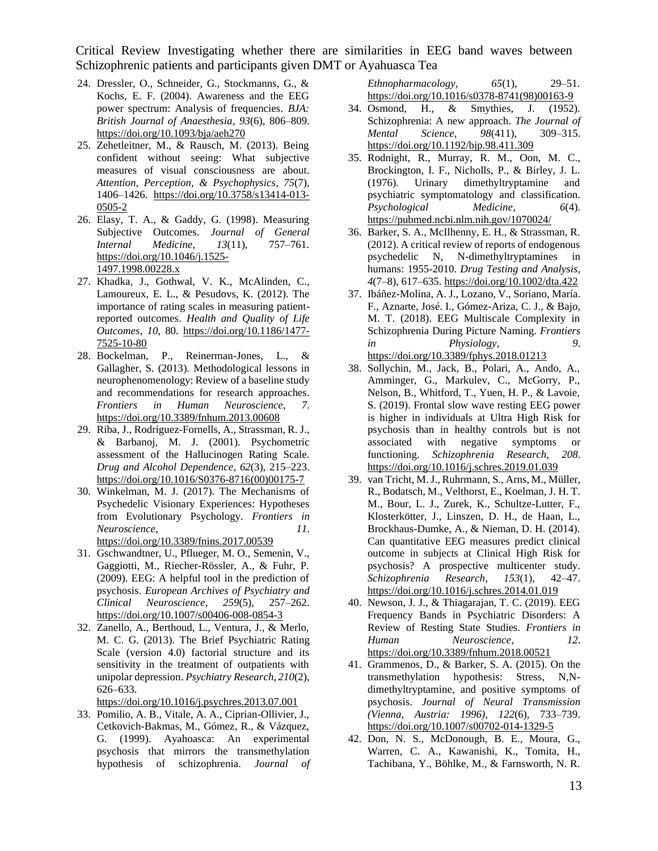- 24. Dressler, O., Schneider, G., Stockmanns, G., & Kochs, E. F. (2004). Awareness and the EEG power spectrum: Analysis of frequencies. *BJA: British Journal of Anaesthesia*, *93*(6), 806–809. <https://doi.org/10.1093/bja/aeh270>
- 25. Zehetleitner, M., & Rausch, M. (2013). Being confident without seeing: What subjective measures of visual consciousness are about. *Attention, Perception, & Psychophysics*, *75*(7), 1406–1426. [https://doi.org/10.3758/s13414-013-](https://doi.org/10.3758/s13414-013-0505-2) [0505-2](https://doi.org/10.3758/s13414-013-0505-2)
- 26. Elasy, T. A., & Gaddy, G. (1998). Measuring Subjective Outcomes. *Journal of General Internal Medicine*, *13*(11), 757–761. [https://doi.org/10.1046/j.1525-](https://doi.org/10.1046/j.1525-1497.1998.00228.x) [1497.1998.00228.x](https://doi.org/10.1046/j.1525-1497.1998.00228.x)
- 27. Khadka, J., Gothwal, V. K., McAlinden, C., Lamoureux, E. L., & Pesudovs, K. (2012). The importance of rating scales in measuring patientreported outcomes. *Health and Quality of Life Outcomes*, *10*, 80. [https://doi.org/10.1186/1477-](https://doi.org/10.1186/1477-7525-10-80) [7525-10-80](https://doi.org/10.1186/1477-7525-10-80)
- 28. Bockelman, P., Reinerman-Jones, L., & Gallagher, S. (2013). Methodological lessons in neurophenomenology: Review of a baseline study and recommendations for research approaches. *Frontiers in Human Neuroscience*, *7*. <https://doi.org/10.3389/fnhum.2013.00608>
- 29. Riba, J., Rodrı́guez-Fornells, A., Strassman, R. J., & Barbanoj, M. J. (2001). Psychometric assessment of the Hallucinogen Rating Scale. *Drug and Alcohol Dependence*, *62*(3), 215–223. [https://doi.org/10.1016/S0376-8716\(00\)00175-7](https://doi.org/10.1016/S0376-8716(00)00175-7)
- 30. Winkelman, M. J. (2017). The Mechanisms of Psychedelic Visionary Experiences: Hypotheses from Evolutionary Psychology. *Frontiers in Neuroscience*, *11*. <https://doi.org/10.3389/fnins.2017.00539>
- 31. Gschwandtner, U., Pflueger, M. O., Semenin, V., Gaggiotti, M., Riecher-Rössler, A., & Fuhr, P. (2009). EEG: A helpful tool in the prediction of psychosis. *European Archives of Psychiatry and Clinical Neuroscience*, *259*(5), 257–262. <https://doi.org/10.1007/s00406-008-0854-3>
- 32. Zanello, A., Berthoud, L., Ventura, J., & Merlo, M. C. G. (2013). The Brief Psychiatric Rating Scale (version 4.0) factorial structure and its sensitivity in the treatment of outpatients with unipolar depression. *Psychiatry Research*, *210*(2), 626–633.

<https://doi.org/10.1016/j.psychres.2013.07.001>

33. Pomilio, A. B., Vitale, A. A., Ciprian-Ollivier, J., Cetkovich-Bakmas, M., Gómez, R., & Vázquez, G. (1999). Ayahoasca: An experimental psychosis that mirrors the transmethylation hypothesis of schizophrenia. *Journal of*  *Ethnopharmacology*, *65*(1), 29–51. [https://doi.org/10.1016/s0378-8741\(98\)00163-9](https://doi.org/10.1016/s0378-8741(98)00163-9)

- 34. Osmond, H., & Smythies, J. (1952). Schizophrenia: A new approach. *The Journal of Mental Science*, *98*(411), 309–315. <https://doi.org/10.1192/bjp.98.411.309>
- 35. Rodnight, R., Murray, R. M., Oon, M. C., Brockington, I. F., Nicholls, P., & Birley, J. L. (1976). Urinary dimethyltryptamine and psychiatric symptomatology and classification. *Psychological Medicine*, *6*(4). <https://pubmed.ncbi.nlm.nih.gov/1070024/>
- 36. Barker, S. A., McIlhenny, E. H., & Strassman, R. (2012). A critical review of reports of endogenous psychedelic N, N-dimethyltryptamines in humans: 1955-2010. *Drug Testing and Analysis*, *4*(7–8), 617–635[. https://doi.org/10.1002/dta.422](https://doi.org/10.1002/dta.422)
- 37. Ibáñez-Molina, A. J., Lozano, V., Soriano, María. F., Aznarte, José. I., Gómez-Ariza, C. J., & Bajo, M. T. (2018). EEG Multiscale Complexity in Schizophrenia During Picture Naming. *Frontiers in Physiology*, *9*. <https://doi.org/10.3389/fphys.2018.01213>
- 38. Sollychin, M., Jack, B., Polari, A., Ando, A., Amminger, G., Markulev, C., McGorry, P., Nelson, B., Whitford, T., Yuen, H. P., & Lavoie, S. (2019). Frontal slow wave resting EEG power is higher in individuals at Ultra High Risk for psychosis than in healthy controls but is not associated with negative symptoms or functioning. *Schizophrenia Research*, *208*. <https://doi.org/10.1016/j.schres.2019.01.039>
- 39. van Tricht, M. J., Ruhrmann, S., Arns, M., Müller, R., Bodatsch, M., Velthorst, E., Koelman, J. H. T. M., Bour, L. J., Zurek, K., Schultze-Lutter, F., Klosterkötter, J., Linszen, D. H., de Haan, L., Brockhaus-Dumke, A., & Nieman, D. H. (2014). Can quantitative EEG measures predict clinical outcome in subjects at Clinical High Risk for psychosis? A prospective multicenter study. *Schizophrenia Research*, *153*(1), 42–47. <https://doi.org/10.1016/j.schres.2014.01.019>
- 40. Newson, J. J., & Thiagarajan, T. C. (2019). EEG Frequency Bands in Psychiatric Disorders: A Review of Resting State Studies. *Frontiers in Human Neuroscience*, *12*. <https://doi.org/10.3389/fnhum.2018.00521>
- 41. Grammenos, D., & Barker, S. A. (2015). On the transmethylation hypothesis: Stress, N,Ndimethyltryptamine, and positive symptoms of psychosis. *Journal of Neural Transmission (Vienna, Austria: 1996)*, *122*(6), 733–739. <https://doi.org/10.1007/s00702-014-1329-5>
- 42. Don, N. S., McDonough, B. E., Moura, G., Warren, C. A., Kawanishi, K., Tomita, H., Tachibana, Y., Böhlke, M., & Farnsworth, N. R.